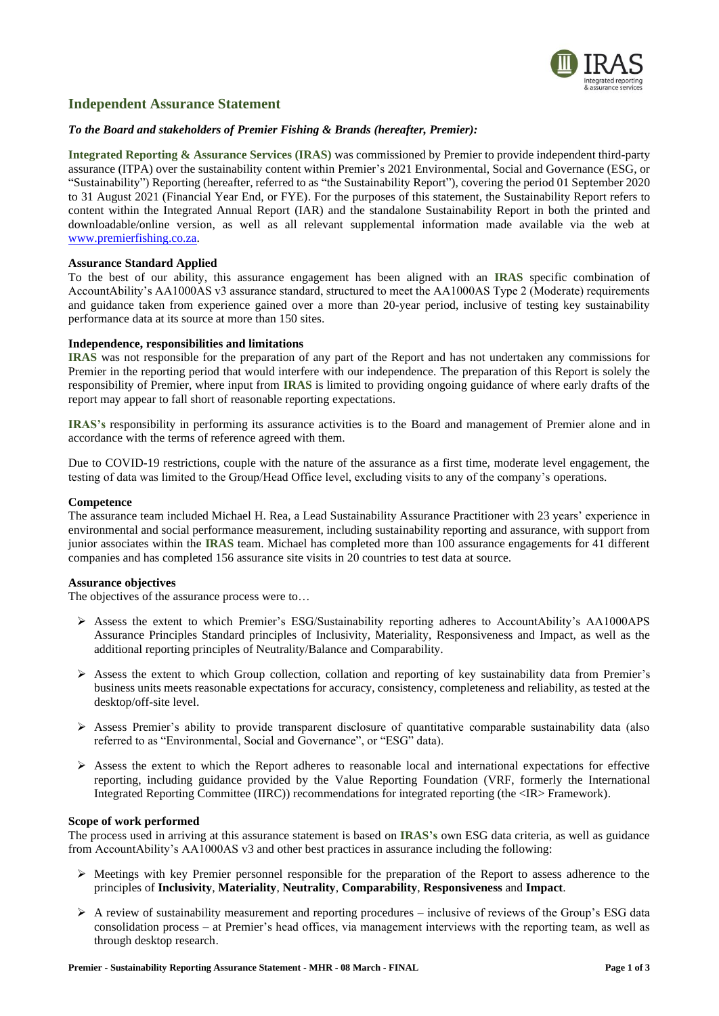

# **Independent Assurance Statement**

# *To the Board and stakeholders of Premier Fishing & Brands (hereafter, Premier):*

**Integrated Reporting & Assurance Services (IRAS)** was commissioned by Premier to provide independent third-party assurance (ITPA) over the sustainability content within Premier's 2021 Environmental, Social and Governance (ESG, or "Sustainability") Reporting (hereafter, referred to as "the Sustainability Report"), covering the period 01 September 2020 to 31 August 2021 (Financial Year End, or FYE). For the purposes of this statement, the Sustainability Report refers to content within the Integrated Annual Report (IAR) and the standalone Sustainability Report in both the printed and downloadable/online version, as well as all relevant supplemental information made available via the web at [www.premierfishing.co.za.](http://www.premierfishing.co.za/)

# **Assurance Standard Applied**

To the best of our ability, this assurance engagement has been aligned with an **IRAS** specific combination of AccountAbility's AA1000AS v3 assurance standard, structured to meet the AA1000AS Type 2 (Moderate) requirements and guidance taken from experience gained over a more than 20-year period, inclusive of testing key sustainability performance data at its source at more than 150 sites.

# **Independence, responsibilities and limitations**

**IRAS** was not responsible for the preparation of any part of the Report and has not undertaken any commissions for Premier in the reporting period that would interfere with our independence. The preparation of this Report is solely the responsibility of Premier, where input from **IRAS** is limited to providing ongoing guidance of where early drafts of the report may appear to fall short of reasonable reporting expectations.

**IRAS's** responsibility in performing its assurance activities is to the Board and management of Premier alone and in accordance with the terms of reference agreed with them.

Due to COVID-19 restrictions, couple with the nature of the assurance as a first time, moderate level engagement, the testing of data was limited to the Group/Head Office level, excluding visits to any of the company's operations.

### **Competence**

The assurance team included Michael H. Rea, a Lead Sustainability Assurance Practitioner with 23 years' experience in environmental and social performance measurement, including sustainability reporting and assurance, with support from junior associates within the **IRAS** team. Michael has completed more than 100 assurance engagements for 41 different companies and has completed 156 assurance site visits in 20 countries to test data at source.

#### **Assurance objectives**

The objectives of the assurance process were to…

- ➢ Assess the extent to which Premier's ESG/Sustainability reporting adheres to AccountAbility's AA1000APS Assurance Principles Standard principles of Inclusivity, Materiality, Responsiveness and Impact, as well as the additional reporting principles of Neutrality/Balance and Comparability.
- $\triangleright$  Assess the extent to which Group collection, collation and reporting of key sustainability data from Premier's business units meets reasonable expectations for accuracy, consistency, completeness and reliability, as tested at the desktop/off-site level.
- ➢ Assess Premier's ability to provide transparent disclosure of quantitative comparable sustainability data (also referred to as "Environmental, Social and Governance", or "ESG" data).
- ➢ Assess the extent to which the Report adheres to reasonable local and international expectations for effective reporting, including guidance provided by the Value Reporting Foundation (VRF, formerly the International Integrated Reporting Committee (IIRC)) recommendations for integrated reporting (the <IR> Framework).

#### **Scope of work performed**

The process used in arriving at this assurance statement is based on **IRAS's** own ESG data criteria, as well as guidance from AccountAbility's AA1000AS v3 and other best practices in assurance including the following:

- ➢ Meetings with key Premier personnel responsible for the preparation of the Report to assess adherence to the principles of **Inclusivity**, **Materiality**, **Neutrality**, **Comparability**, **Responsiveness** and **Impact**.
- $\triangleright$  A review of sustainability measurement and reporting procedures inclusive of reviews of the Group's ESG data consolidation process – at Premier's head offices, via management interviews with the reporting team, as well as through desktop research.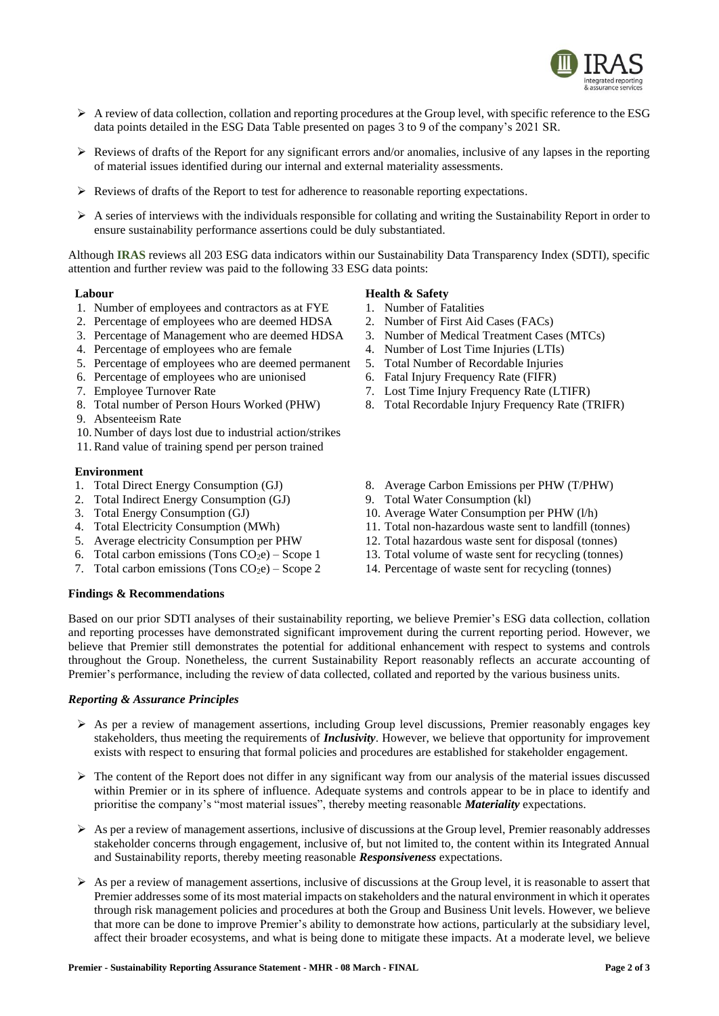

- $\triangleright$  A review of data collection, collation and reporting procedures at the Group level, with specific reference to the ESG data points detailed in the ESG Data Table presented on pages 3 to 9 of the company's 2021 SR.
- $\triangleright$  Reviews of drafts of the Report for any significant errors and/or anomalies, inclusive of any lapses in the reporting of material issues identified during our internal and external materiality assessments.
- $\triangleright$  Reviews of drafts of the Report to test for adherence to reasonable reporting expectations.
- $\triangleright$  A series of interviews with the individuals responsible for collating and writing the Sustainability Report in order to ensure sustainability performance assertions could be duly substantiated.

Although **IRAS** reviews all 203 ESG data indicators within our Sustainability Data Transparency Index (SDTI), specific attention and further review was paid to the following 33 ESG data points:

#### **Labour**

- 1. Number of employees and contractors as at FYE
- 2. Percentage of employees who are deemed HDSA
- 3. Percentage of Management who are deemed HDSA
- 4. Percentage of employees who are female
- 5. Percentage of employees who are deemed permanent
- 6. Percentage of employees who are unionised
- 7. Employee Turnover Rate
- 8. Total number of Person Hours Worked (PHW)
- 9. Absenteeism Rate
- 10. Number of days lost due to industrial action/strikes
- 11. Rand value of training spend per person trained

#### **Environment**

- 1. Total Direct Energy Consumption (GJ)
- 2. Total Indirect Energy Consumption (GJ)
- 3. Total Energy Consumption (GJ)
- 4. Total Electricity Consumption (MWh)
- 5. Average electricity Consumption per PHW
- 6. Total carbon emissions (Tons  $CO<sub>2</sub>e$ ) Scope 1
- 7. Total carbon emissions (Tons  $CO<sub>2</sub>e$ ) Scope 2

# **Health & Safety**

- 1. Number of Fatalities
- 2. Number of First Aid Cases (FACs)
- 3. Number of Medical Treatment Cases (MTCs)
- 4. Number of Lost Time Injuries (LTIs)
- 5. Total Number of Recordable Injuries
- 6. Fatal Injury Frequency Rate (FIFR)
- 7. Lost Time Injury Frequency Rate (LTIFR)
- 8. Total Recordable Injury Frequency Rate (TRIFR)
- 8. Average Carbon Emissions per PHW (T/PHW)
- 9. Total Water Consumption (kl)
- 10. Average Water Consumption per PHW (l/h)
- 11. Total non-hazardous waste sent to landfill (tonnes)
- 12. Total hazardous waste sent for disposal (tonnes)
- 13. Total volume of waste sent for recycling (tonnes)
- 14. Percentage of waste sent for recycling (tonnes)

### **Findings & Recommendations**

Based on our prior SDTI analyses of their sustainability reporting, we believe Premier's ESG data collection, collation and reporting processes have demonstrated significant improvement during the current reporting period. However, we believe that Premier still demonstrates the potential for additional enhancement with respect to systems and controls throughout the Group. Nonetheless, the current Sustainability Report reasonably reflects an accurate accounting of Premier's performance, including the review of data collected, collated and reported by the various business units.

#### *Reporting & Assurance Principles*

- $\triangleright$  As per a review of management assertions, including Group level discussions, Premier reasonably engages key stakeholders, thus meeting the requirements of *Inclusivity*. However, we believe that opportunity for improvement exists with respect to ensuring that formal policies and procedures are established for stakeholder engagement.
- $\triangleright$  The content of the Report does not differ in any significant way from our analysis of the material issues discussed within Premier or in its sphere of influence. Adequate systems and controls appear to be in place to identify and prioritise the company's "most material issues", thereby meeting reasonable *Materiality* expectations.
- $\triangleright$  As per a review of management assertions, inclusive of discussions at the Group level, Premier reasonably addresses stakeholder concerns through engagement, inclusive of, but not limited to, the content within its Integrated Annual and Sustainability reports, thereby meeting reasonable *Responsiveness* expectations.
- $\triangleright$  As per a review of management assertions, inclusive of discussions at the Group level, it is reasonable to assert that Premier addresses some of its most material impacts on stakeholders and the natural environment in which it operates through risk management policies and procedures at both the Group and Business Unit levels. However, we believe that more can be done to improve Premier's ability to demonstrate how actions, particularly at the subsidiary level, affect their broader ecosystems, and what is being done to mitigate these impacts. At a moderate level, we believe